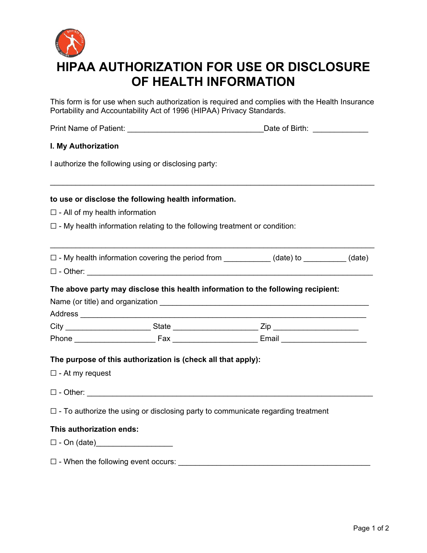

This form is for use when such authorization is required and complies with the Health Insurance Portability and Accountability Act of 1996 (HIPAA) Privacy Standards.

| Print Name of Patient: <u>Contract Contract Contract Contract Contract Contract Contract Contract Contract Contract Contract Contract Contract Contract Contract Contract Contract Contract Contract Contract Contract Contract </u> |                                                                                        |  |  |
|--------------------------------------------------------------------------------------------------------------------------------------------------------------------------------------------------------------------------------------|----------------------------------------------------------------------------------------|--|--|
| I. My Authorization                                                                                                                                                                                                                  |                                                                                        |  |  |
|                                                                                                                                                                                                                                      | I authorize the following using or disclosing party:                                   |  |  |
|                                                                                                                                                                                                                                      | to use or disclose the following health information.                                   |  |  |
| $\square$ - All of my health information                                                                                                                                                                                             |                                                                                        |  |  |
|                                                                                                                                                                                                                                      | $\Box$ - My health information relating to the following treatment or condition:       |  |  |
| $\Box$ - My health information covering the period from $\Box$ (date) to $\Box$ (date)                                                                                                                                               |                                                                                        |  |  |
|                                                                                                                                                                                                                                      |                                                                                        |  |  |
|                                                                                                                                                                                                                                      | The above party may disclose this health information to the following recipient:       |  |  |
|                                                                                                                                                                                                                                      |                                                                                        |  |  |
|                                                                                                                                                                                                                                      |                                                                                        |  |  |
|                                                                                                                                                                                                                                      | The purpose of this authorization is (check all that apply):                           |  |  |
| $\square$ - At my request                                                                                                                                                                                                            |                                                                                        |  |  |
|                                                                                                                                                                                                                                      |                                                                                        |  |  |
|                                                                                                                                                                                                                                      | $\Box$ - To authorize the using or disclosing party to communicate regarding treatment |  |  |
| This authorization ends:                                                                                                                                                                                                             |                                                                                        |  |  |
|                                                                                                                                                                                                                                      |                                                                                        |  |  |
| $\square$ - When the following event occurs:                                                                                                                                                                                         |                                                                                        |  |  |